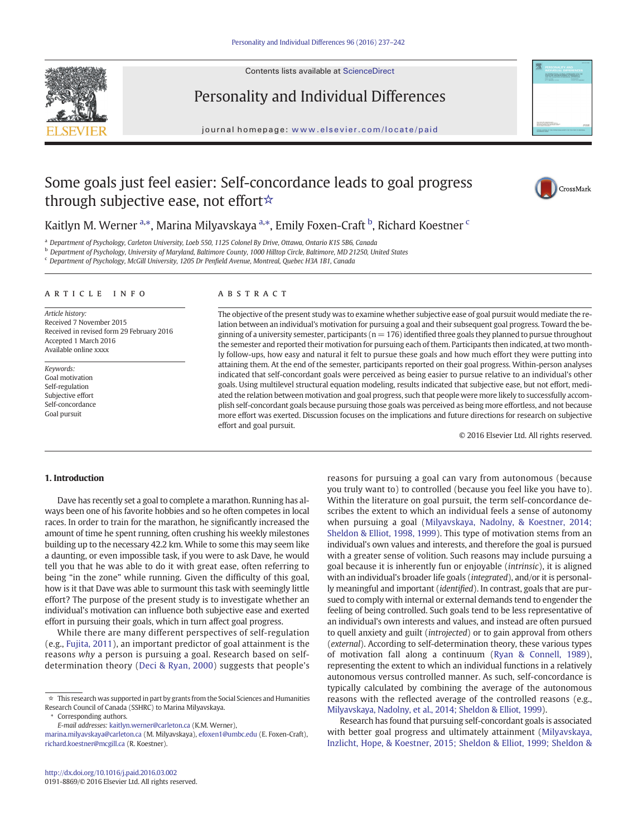

Contents lists available at [ScienceDirect](http://www.sciencedirect.com/science/journal/)

# Personality and Individual Differences

journal homepage: <www.elsevier.com/locate/paid>



# Some goals just feel easier: Self-concordance leads to goal progress through subjective ease, not effort☆



# Kaitlyn M. Werner <sup>a,</sup>\*, Marina Milyavskaya <sup>a,</sup>\*, Emily Foxen-Craft <sup>b</sup>, Richard Koestner <sup>c</sup>

<sup>a</sup> Department of Psychology, Carleton University, Loeb 550, 1125 Colonel By Drive, Ottawa, Ontario K1S 5B6, Canada

<sup>b</sup> Department of Psychology, University of Maryland, Baltimore County, 1000 Hilltop Circle, Baltimore, MD 21250, United States

<sup>c</sup> Department of Psychology, McGill University, 1205 Dr Penfield Avenue, Montreal, Quebec H3A 1B1, Canada

#### article info abstract

Article history: Received 7 November 2015 Received in revised form 29 February 2016 Accepted 1 March 2016 Available online xxxx

Keywords: Goal motivation Self-regulation Subjective effort Self-concordance Goal pursuit

The objective of the present study was to examine whether subjective ease of goal pursuit would mediate the relation between an individual's motivation for pursuing a goal and their subsequent goal progress. Toward the beginning of a university semester, participants ( $n = 176$ ) identified three goals they planned to pursue throughout the semester and reported their motivation for pursuing each of them. Participants then indicated, at two monthly follow-ups, how easy and natural it felt to pursue these goals and how much effort they were putting into attaining them. At the end of the semester, participants reported on their goal progress. Within-person analyses indicated that self-concordant goals were perceived as being easier to pursue relative to an individual's other goals. Using multilevel structural equation modeling, results indicated that subjective ease, but not effort, mediated the relation between motivation and goal progress, such that people were more likely to successfully accomplish self-concordant goals because pursuing those goals was perceived as being more effortless, and not because more effort was exerted. Discussion focuses on the implications and future directions for research on subjective effort and goal pursuit.

© 2016 Elsevier Ltd. All rights reserved.

### 1. Introduction

Dave has recently set a goal to complete a marathon. Running has always been one of his favorite hobbies and so he often competes in local races. In order to train for the marathon, he significantly increased the amount of time he spent running, often crushing his weekly milestones building up to the necessary 42.2 km. While to some this may seem like a daunting, or even impossible task, if you were to ask Dave, he would tell you that he was able to do it with great ease, often referring to being "in the zone" while running. Given the difficulty of this goal, how is it that Dave was able to surmount this task with seemingly little effort? The purpose of the present study is to investigate whether an individual's motivation can influence both subjective ease and exerted effort in pursuing their goals, which in turn affect goal progress.

While there are many different perspectives of self-regulation (e.g., [Fujita, 2011\)](#page-4-0), an important predictor of goal attainment is the reasons why a person is pursuing a goal. Research based on selfdetermination theory ([Deci & Ryan, 2000](#page-4-0)) suggests that people's

Corresponding authors.

reasons for pursuing a goal can vary from autonomous (because you truly want to) to controlled (because you feel like you have to). Within the literature on goal pursuit, the term self-concordance describes the extent to which an individual feels a sense of autonomy when pursuing a goal [\(Milyavskaya, Nadolny, & Koestner, 2014;](#page-4-0) [Sheldon & Elliot, 1998, 1999\)](#page-4-0). This type of motivation stems from an individual's own values and interests, and therefore the goal is pursued with a greater sense of volition. Such reasons may include pursuing a goal because it is inherently fun or enjoyable (intrinsic), it is aligned with an individual's broader life goals (*integrated*), and/or it is personally meaningful and important (identified). In contrast, goals that are pursued to comply with internal or external demands tend to engender the feeling of being controlled. Such goals tend to be less representative of an individual's own interests and values, and instead are often pursued to quell anxiety and guilt (introjected) or to gain approval from others (external). According to self-determination theory, these various types of motivation fall along a continuum ([Ryan & Connell, 1989](#page-5-0)), representing the extent to which an individual functions in a relatively autonomous versus controlled manner. As such, self-concordance is typically calculated by combining the average of the autonomous reasons with the reflected average of the controlled reasons (e.g., [Milyavskaya, Nadolny, et al., 2014; Sheldon & Elliot, 1999\)](#page-4-0).

Research has found that pursuing self-concordant goals is associated with better goal progress and ultimately attainment [\(Milyavskaya,](#page-4-0) [Inzlicht, Hope, & Koestner, 2015; Sheldon & Elliot, 1999; Sheldon &](#page-4-0)

 $\star$  This research was supported in part by grants from the Social Sciences and Humanities Research Council of Canada (SSHRC) to Marina Milyavskaya.

E-mail addresses: kaitlyn.werner@carleton.ca (K.M. Werner),

[marina.milyavskaya@carleton.ca](mailto:marina.milyavskaya@carleton.ca) (M. Milyavskaya), efoxen1@umbc.edu (E. Foxen-Craft), [richard.koestner@mcgill.ca](mailto:richard.koestner@mcgill.ca) (R. Koestner).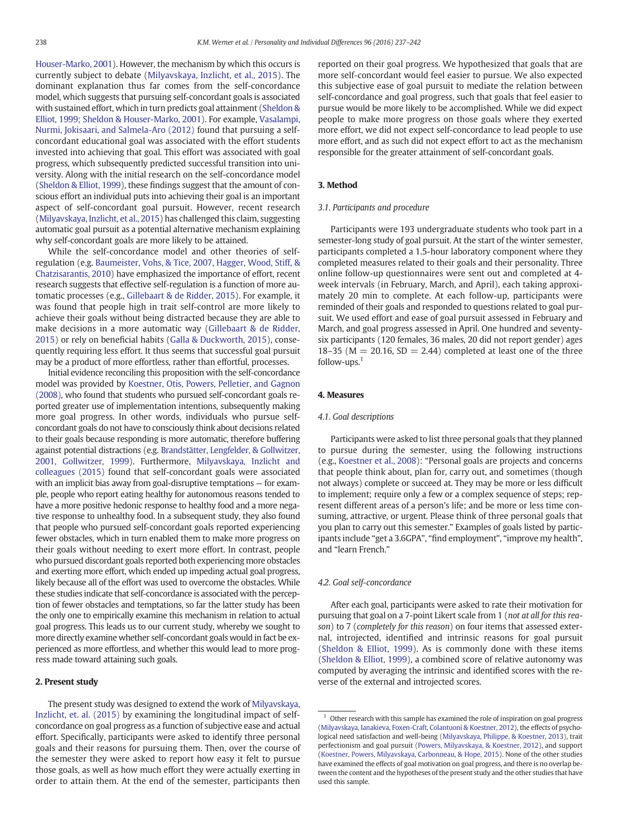[Houser-Marko, 2001\)](#page-4-0). However, the mechanism by which this occurs is currently subject to debate [\(Milyavskaya, Inzlicht, et al., 2015](#page-4-0)). The dominant explanation thus far comes from the self-concordance model, which suggests that pursuing self-concordant goals is associated with sustained effort, which in turn predicts goal attainment [\(Sheldon &](#page-5-0) [Elliot, 1999; Sheldon & Houser-Marko, 2001\)](#page-5-0). For example, [Vasalampi,](#page-5-0) [Nurmi, Jokisaari, and Salmela-Aro \(2012\)](#page-5-0) found that pursuing a selfconcordant educational goal was associated with the effort students invested into achieving that goal. This effort was associated with goal progress, which subsequently predicted successful transition into university. Along with the initial research on the self-concordance model [\(Sheldon & Elliot, 1999\)](#page-5-0), these findings suggest that the amount of conscious effort an individual puts into achieving their goal is an important aspect of self-concordant goal pursuit. However, recent research [\(Milyavskaya, Inzlicht, et al., 2015](#page-4-0)) has challenged this claim, suggesting automatic goal pursuit as a potential alternative mechanism explaining why self-concordant goals are more likely to be attained.

While the self-concordance model and other theories of selfregulation (e.g. [Baumeister, Vohs, & Tice, 2007, Hagger, Wood, Stiff, &](#page-4-0) [Chatzisarantis, 2010\)](#page-4-0) have emphasized the importance of effort, recent research suggests that effective self-regulation is a function of more automatic processes (e.g., [Gillebaart & de Ridder, 2015](#page-4-0)). For example, it was found that people high in trait self-control are more likely to achieve their goals without being distracted because they are able to make decisions in a more automatic way ([Gillebaart & de Ridder,](#page-4-0) [2015](#page-4-0)) or rely on beneficial habits [\(Galla & Duckworth, 2015](#page-4-0)), consequently requiring less effort. It thus seems that successful goal pursuit may be a product of more effortless, rather than effortful, processes.

Initial evidence reconciling this proposition with the self-concordance model was provided by [Koestner, Otis, Powers, Pelletier, and Gagnon](#page-4-0) [\(2008\),](#page-4-0) who found that students who pursued self-concordant goals reported greater use of implementation intentions, subsequently making more goal progress. In other words, individuals who pursue selfconcordant goals do not have to consciously think about decisions related to their goals because responding is more automatic, therefore buffering against potential distractions (e.g. [Brandstätter, Lengfelder, & Gollwitzer,](#page-4-0) [2001, Gollwitzer, 1999](#page-4-0)). Furthermore, [Milyavskaya, Inzlicht and](#page-4-0) [colleagues \(2015\)](#page-4-0) found that self-concordant goals were associated with an implicit bias away from goal-disruptive temptations — for example, people who report eating healthy for autonomous reasons tended to have a more positive hedonic response to healthy food and a more negative response to unhealthy food. In a subsequent study, they also found that people who pursued self-concordant goals reported experiencing fewer obstacles, which in turn enabled them to make more progress on their goals without needing to exert more effort. In contrast, people who pursued discordant goals reported both experiencing more obstacles and exerting more effort, which ended up impeding actual goal progress, likely because all of the effort was used to overcome the obstacles. While these studies indicate that self-concordance is associated with the perception of fewer obstacles and temptations, so far the latter study has been the only one to empirically examine this mechanism in relation to actual goal progress. This leads us to our current study, whereby we sought to more directly examine whether self-concordant goals would in fact be experienced as more effortless, and whether this would lead to more progress made toward attaining such goals.

#### 2. Present study

The present study was designed to extend the work of [Milyavskaya,](#page-4-0) [Inzlicht, et. al. \(2015\)](#page-4-0) by examining the longitudinal impact of selfconcordance on goal progress as a function of subjective ease and actual effort. Specifically, participants were asked to identify three personal goals and their reasons for pursuing them. Then, over the course of the semester they were asked to report how easy it felt to pursue those goals, as well as how much effort they were actually exerting in order to attain them. At the end of the semester, participants then

reported on their goal progress. We hypothesized that goals that are more self-concordant would feel easier to pursue. We also expected this subjective ease of goal pursuit to mediate the relation between self-concordance and goal progress, such that goals that feel easier to pursue would be more likely to be accomplished. While we did expect people to make more progress on those goals where they exerted more effort, we did not expect self-concordance to lead people to use more effort, and as such did not expect effort to act as the mechanism responsible for the greater attainment of self-concordant goals.

# 3. Method

### 3.1. Participants and procedure

Participants were 193 undergraduate students who took part in a semester-long study of goal pursuit. At the start of the winter semester, participants completed a 1.5-hour laboratory component where they completed measures related to their goals and their personality. Three online follow-up questionnaires were sent out and completed at 4 week intervals (in February, March, and April), each taking approximately 20 min to complete. At each follow-up, participants were reminded of their goals and responded to questions related to goal pursuit. We used effort and ease of goal pursuit assessed in February and March, and goal progress assessed in April. One hundred and seventysix participants (120 females, 36 males, 20 did not report gender) ages 18–35 ( $M = 20.16$ , SD = 2.44) completed at least one of the three follow-ups.1

# 4. Measures

#### 4.1. Goal descriptions

Participants were asked to list three personal goals that they planned to pursue during the semester, using the following instructions (e.g., [Koestner et al., 2008\)](#page-4-0): "Personal goals are projects and concerns that people think about, plan for, carry out, and sometimes (though not always) complete or succeed at. They may be more or less difficult to implement; require only a few or a complex sequence of steps; represent different areas of a person's life; and be more or less time consuming, attractive, or urgent. Please think of three personal goals that you plan to carry out this semester." Examples of goals listed by participants include "get a 3.6GPA", "find employment", "improve my health", and "learn French."

#### 4.2. Goal self-concordance

After each goal, participants were asked to rate their motivation for pursuing that goal on a 7-point Likert scale from 1 (not at all for this reason) to 7 (completely for this reason) on four items that assessed external, introjected, identified and intrinsic reasons for goal pursuit [\(Sheldon & Elliot, 1999](#page-5-0)). As is commonly done with these items [\(Sheldon & Elliot, 1999](#page-5-0)), a combined score of relative autonomy was computed by averaging the intrinsic and identified scores with the reverse of the external and introjected scores.

 $^{\rm 1}$  Other research with this sample has examined the role of inspiration on goal progress [\(Milyavskaya, Ianakieva, Foxen-Craft, Colantuoni & Koestner, 2012\)](#page-4-0), the effects of psychological need satisfaction and well-being ([Milyavskaya, Philippe, & Koestner, 2013\)](#page-4-0), trait perfectionism and goal pursuit ([Powers, Milyavskaya, & Koestner, 2012](#page-4-0)), and support ([Koestner, Powers, Milyavskaya, Carbonneau, & Hope, 2015](#page-4-0)). None of the other studies have examined the effects of goal motivation on goal progress, and there is no overlap between the content and the hypotheses of the present study and the other studies that have used this sample.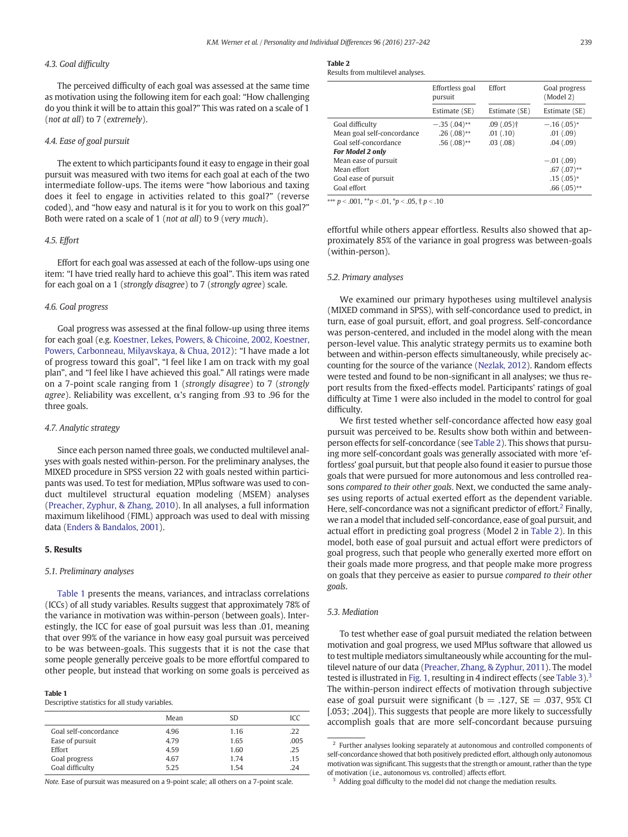# 4.3. Goal difficulty

The perceived difficulty of each goal was assessed at the same time as motivation using the following item for each goal: "How challenging do you think it will be to attain this goal?" This was rated on a scale of 1 (not at all) to 7 (extremely).

# 4.4. Ease of goal pursuit

The extent to which participants found it easy to engage in their goal pursuit was measured with two items for each goal at each of the two intermediate follow-ups. The items were "how laborious and taxing does it feel to engage in activities related to this goal?" (reverse coded), and "how easy and natural is it for you to work on this goal?" Both were rated on a scale of 1 (not at all) to 9 (very much).

## 4.5. Effort

Effort for each goal was assessed at each of the follow-ups using one item: "I have tried really hard to achieve this goal". This item was rated for each goal on a 1 (strongly disagree) to 7 (strongly agree) scale.

# 4.6. Goal progress

Goal progress was assessed at the final follow-up using three items for each goal (e.g. [Koestner, Lekes, Powers, & Chicoine, 2002, Koestner,](#page-4-0) [Powers, Carbonneau, Milyavskaya, & Chua, 2012\)](#page-4-0): "I have made a lot of progress toward this goal", "I feel like I am on track with my goal plan", and "I feel like I have achieved this goal." All ratings were made on a 7-point scale ranging from 1 (strongly disagree) to 7 (strongly agree). Reliability was excellent,  $\alpha$ 's ranging from .93 to .96 for the three goals.

# 4.7. Analytic strategy

Since each person named three goals, we conducted multilevel analyses with goals nested within-person. For the preliminary analyses, the MIXED procedure in SPSS version 22 with goals nested within participants was used. To test for mediation, MPlus software was used to conduct multilevel structural equation modeling (MSEM) analyses [\(Preacher, Zyphur, & Zhang, 2010\)](#page-5-0). In all analyses, a full information maximum likelihood (FIML) approach was used to deal with missing data [\(Enders & Bandalos, 2001\)](#page-4-0).

### 5. Results

#### 5.1. Preliminary analyses

Table 1 presents the means, variances, and intraclass correlations (ICCs) of all study variables. Results suggest that approximately 78% of the variance in motivation was within-person (between goals). Interestingly, the ICC for ease of goal pursuit was less than .01, meaning that over 99% of the variance in how easy goal pursuit was perceived to be was between-goals. This suggests that it is not the case that some people generally perceive goals to be more effortful compared to other people, but instead that working on some goals is perceived as

# Table 1

Descriptive statistics for all study variables.

|                       | Mean | SD.  | ICC  |
|-----------------------|------|------|------|
| Goal self-concordance | 4.96 | 1.16 | .22  |
| Ease of pursuit       | 4.79 | 1.65 | .005 |
| Effort                | 4.59 | 1.60 | .25  |
| Goal progress         | 4.67 | 1.74 | .15  |
| Goal difficulty       | 5.25 | 154  | 24   |

Note. Ease of pursuit was measured on a 9-point scale; all others on a 7-point scale.

# Table 2

Results from multilevel analyses.

|                                                                                                                                                                                 | Effortless goal<br>pursuit                       | Effort                               | Goal progress<br>(Model 2)                                                                              |
|---------------------------------------------------------------------------------------------------------------------------------------------------------------------------------|--------------------------------------------------|--------------------------------------|---------------------------------------------------------------------------------------------------------|
|                                                                                                                                                                                 | Estimate (SE)                                    | Estimate (SE)                        | Estimate (SE)                                                                                           |
| Goal difficulty<br>Mean goal self-concordance<br>Goal self-concordance<br><b>For Model 2 only</b><br>Mean ease of pursuit<br>Mean effort<br>Goal ease of pursuit<br>Goal effort | $-.35(.04)$ **<br>$.26(.08)$ **<br>$.56(.08)$ ** | $.09(.05)$ †<br>.01(.10)<br>.03(.08) | $-.16(.05)*$<br>.01(.09)<br>.04(.09)<br>$-.01(.09)$<br>$.67$ $(.07)$ **<br>$.15(.05)*$<br>$.66(.05)$ ** |
|                                                                                                                                                                                 |                                                  |                                      |                                                                                                         |

\*\*\*  $p < .001$ , \*\*p  $< .01$ , \*p  $< .05$ , † p  $< .10$ 

effortful while others appear effortless. Results also showed that approximately 85% of the variance in goal progress was between-goals (within-person).

#### 5.2. Primary analyses

We examined our primary hypotheses using multilevel analysis (MIXED command in SPSS), with self-concordance used to predict, in turn, ease of goal pursuit, effort, and goal progress. Self-concordance was person-centered, and included in the model along with the mean person-level value. This analytic strategy permits us to examine both between and within-person effects simultaneously, while precisely accounting for the source of the variance ([Nezlak, 2012](#page-4-0)). Random effects were tested and found to be non-significant in all analyses; we thus report results from the fixed-effects model. Participants' ratings of goal difficulty at Time 1 were also included in the model to control for goal difficulty.

We first tested whether self-concordance affected how easy goal pursuit was perceived to be. Results show both within and betweenperson effects for self-concordance (see Table 2). This shows that pursuing more self-concordant goals was generally associated with more 'effortless' goal pursuit, but that people also found it easier to pursue those goals that were pursued for more autonomous and less controlled reasons compared to their other goals. Next, we conducted the same analyses using reports of actual exerted effort as the dependent variable. Here, self-concordance was not a significant predictor of effort.<sup>2</sup> Finally, we ran a model that included self-concordance, ease of goal pursuit, and actual effort in predicting goal progress (Model 2 in Table 2). In this model, both ease of goal pursuit and actual effort were predictors of goal progress, such that people who generally exerted more effort on their goals made more progress, and that people make more progress on goals that they perceive as easier to pursue compared to their other goals.

# 5.3. Mediation

To test whether ease of goal pursuit mediated the relation between motivation and goal progress, we used MPlus software that allowed us to test multiple mediators simultaneously while accounting for the multilevel nature of our data ([Preacher, Zhang, & Zyphur, 2011](#page-4-0)). The model tested is illustrated in [Fig. 1,](#page-3-0) resulting in 4 indirect effects (see [Table 3](#page-3-0)).<sup>3</sup> The within-person indirect effects of motivation through subjective ease of goal pursuit were significant ( $b = .127$ ,  $SE = .037$ , 95% CI [.053; .204]). This suggests that people are more likely to successfully accomplish goals that are more self-concordant because pursuing

 $2$  Further analyses looking separately at autonomous and controlled components of self-concordance showed that both positively predicted effort, although only autonomous motivation was significant. This suggests that the strength or amount, rather than the type of motivation (i.e., autonomous vs. controlled) affects effort.

<sup>3</sup> Adding goal difficulty to the model did not change the mediation results.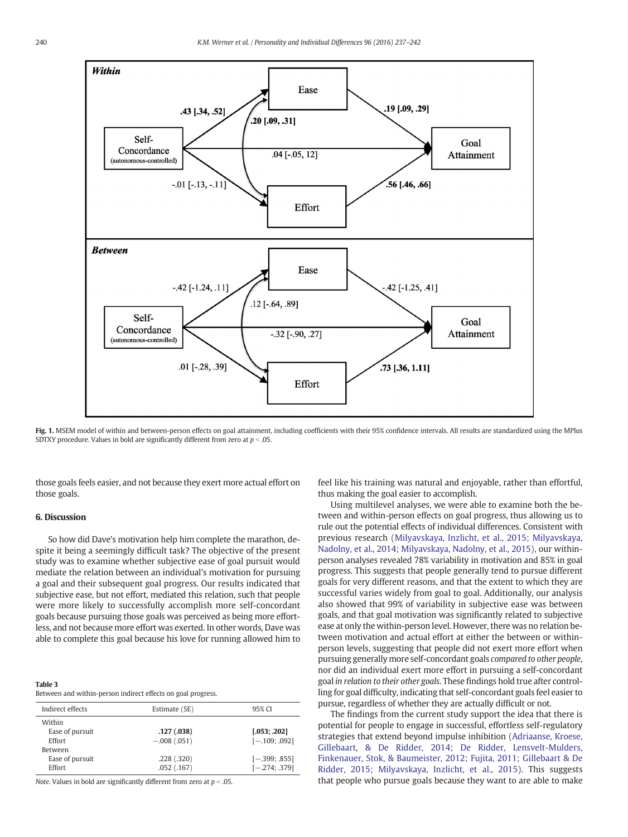<span id="page-3-0"></span>

Fig. 1. MSEM model of within and between-person effects on goal attainment, including coefficients with their 95% confidence intervals. All results are standardized using the MPlus SDTXY procedure. Values in bold are significantly different from zero at  $p < .05$ .

those goals feels easier, and not because they exert more actual effort on those goals.

# 6. Discussion

So how did Dave's motivation help him complete the marathon, despite it being a seemingly difficult task? The objective of the present study was to examine whether subjective ease of goal pursuit would mediate the relation between an individual's motivation for pursuing a goal and their subsequent goal progress. Our results indicated that subjective ease, but not effort, mediated this relation, such that people were more likely to successfully accomplish more self-concordant goals because pursuing those goals was perceived as being more effortless, and not because more effort was exerted. In other words, Dave was able to complete this goal because his love for running allowed him to

#### Table 3

Between and within-person indirect effects on goal progress.

| Indirect effects                                      | Estimate (SE)               | 95% CI                             |
|-------------------------------------------------------|-----------------------------|------------------------------------|
| Within<br>Ease of pursuit<br>Effort<br><b>Between</b> | .127(.038)<br>$-.008(.051)$ | [.053; .202]<br>$[-.109; .092]$    |
| Ease of pursuit<br>Effort                             | .228(.320)<br>.052(.167)    | $[-.399; .855]$<br>$[-.274; .379]$ |

Note. Values in bold are significantly different from zero at  $p < .05$ .

feel like his training was natural and enjoyable, rather than effortful, thus making the goal easier to accomplish.

Using multilevel analyses, we were able to examine both the between and within-person effects on goal progress, thus allowing us to rule out the potential effects of individual differences. Consistent with previous research ([Milyavskaya, Inzlicht, et al., 2015; Milyavskaya,](#page-4-0) [Nadolny, et al., 2014; Milyavskaya, Nadolny, et al., 2015\)](#page-4-0), our withinperson analyses revealed 78% variability in motivation and 85% in goal progress. This suggests that people generally tend to pursue different goals for very different reasons, and that the extent to which they are successful varies widely from goal to goal. Additionally, our analysis also showed that 99% of variability in subjective ease was between goals, and that goal motivation was significantly related to subjective ease at only the within-person level. However, there was no relation between motivation and actual effort at either the between or withinperson levels, suggesting that people did not exert more effort when pursuing generally more self-concordant goals compared to other people, nor did an individual exert more effort in pursuing a self-concordant goal in relation to their other goals. These findings hold true after controlling for goal difficulty, indicating that self-concordant goals feel easier to pursue, regardless of whether they are actually difficult or not.

The findings from the current study support the idea that there is potential for people to engage in successful, effortless self-regulatory strategies that extend beyond impulse inhibition ([Adriaanse, Kroese,](#page-4-0) [Gillebaart, & De Ridder, 2014; De Ridder, Lensvelt-Mulders,](#page-4-0) [Finkenauer, Stok, & Baumeister, 2012; Fujita, 2011; Gillebaart & De](#page-4-0) [Ridder, 2015; Milyavskaya, Inzlicht, et al., 2015](#page-4-0)). This suggests that people who pursue goals because they want to are able to make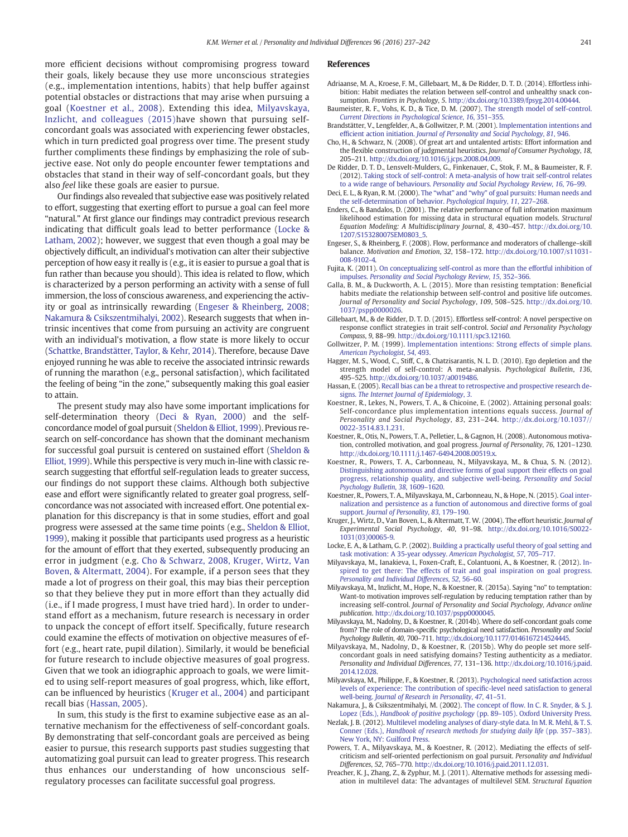<span id="page-4-0"></span>more efficient decisions without compromising progress toward their goals, likely because they use more unconscious strategies (e.g., implementation intentions, habits) that help buffer against potential obstacles or distractions that may arise when pursuing a goal (Koestner et al., 2008). Extending this idea, Milyavskaya, Inzlicht, and colleagues (2015)have shown that pursuing selfconcordant goals was associated with experiencing fewer obstacles, which in turn predicted goal progress over time. The present study further compliments these findings by emphasizing the role of subjective ease. Not only do people encounter fewer temptations and obstacles that stand in their way of self-concordant goals, but they also feel like these goals are easier to pursue.

Our findings also revealed that subjective ease was positively related to effort, suggesting that exerting effort to pursue a goal can feel more "natural." At first glance our findings may contradict previous research indicating that difficult goals lead to better performance (Locke & Latham, 2002); however, we suggest that even though a goal may be objectively difficult, an individual's motivation can alter their subjective perception of how easy it really is (e.g., it is easier to pursue a goal that is fun rather than because you should). This idea is related to flow, which is characterized by a person performing an activity with a sense of full immersion, the loss of conscious awareness, and experiencing the activity or goal as intrinsically rewarding (Engeser & Rheinberg, 2008; Nakamura & Csikszentmihalyi, 2002). Research suggests that when intrinsic incentives that come from pursuing an activity are congruent with an individual's motivation, a flow state is more likely to occur [\(Schattke, Brandstätter, Taylor, & Kehr, 2014](#page-5-0)). Therefore, because Dave enjoyed running he was able to receive the associated intrinsic rewards of running the marathon (e.g., personal satisfaction), which facilitated the feeling of being "in the zone," subsequently making this goal easier to attain.

The present study may also have some important implications for self-determination theory (Deci & Ryan, 2000) and the selfconcordance model of goal pursuit [\(Sheldon & Elliot, 1999\)](#page-5-0). Previous research on self-concordance has shown that the dominant mechanism for successful goal pursuit is centered on sustained effort [\(Sheldon &](#page-5-0) [Elliot, 1999](#page-5-0)). While this perspective is very much in-line with classic research suggesting that effortful self-regulation leads to greater success, our findings do not support these claims. Although both subjective ease and effort were significantly related to greater goal progress, selfconcordance was not associated with increased effort. One potential explanation for this discrepancy is that in some studies, effort and goal progress were assessed at the same time points (e.g., [Sheldon & Elliot,](#page-5-0) [1999](#page-5-0)), making it possible that participants used progress as a heuristic for the amount of effort that they exerted, subsequently producing an error in judgment (e.g. Cho & Schwarz, 2008, Kruger, Wirtz, Van Boven, & Altermatt, 2004). For example, if a person sees that they made a lot of progress on their goal, this may bias their perception so that they believe they put in more effort than they actually did (i.e., if I made progress, I must have tried hard). In order to understand effort as a mechanism, future research is necessary in order to unpack the concept of effort itself. Specifically, future research could examine the effects of motivation on objective measures of effort (e.g., heart rate, pupil dilation). Similarly, it would be beneficial for future research to include objective measures of goal progress. Given that we took an idiographic approach to goals, we were limited to using self-report measures of goal progress, which, like effort, can be influenced by heuristics (Kruger et al., 2004) and participant recall bias (Hassan, 2005).

In sum, this study is the first to examine subjective ease as an alternative mechanism for the effectiveness of self-concordant goals. By demonstrating that self-concordant goals are perceived as being easier to pursue, this research supports past studies suggesting that automatizing goal pursuit can lead to greater progress. This research thus enhances our understanding of how unconscious selfregulatory processes can facilitate successful goal progress.

#### References

- Adriaanse, M. A., Kroese, F. M., Gillebaart, M., & De Ridder, D. T. D. (2014). Effortless inhibition: Habit mediates the relation between self-control and unhealthy snack consumption. Frontiers in Psychology, 5. http://dx.doi.org[/10.3389/fpsyg.2014.00444](http://dx.doi.org/10.3389/fpsyg.2014.00444).
- Baumeister, R. F., Vohs, K. D., & Tice, D. M. (2007). [The strength model of self-control.](http://refhub.elsevier.com/S0191-8869(16)30147-7/rf0010) [Current Directions in Psychological Science](http://refhub.elsevier.com/S0191-8869(16)30147-7/rf0010), 16, 351–355.
- Brandstätter, V., Lengfelder, A., & Gollwitzer, P. M. (2001). [Implementation intentions and](http://refhub.elsevier.com/S0191-8869(16)30147-7/rf0015) efficient action initiation. [Journal of Personality and Social Psychology](http://refhub.elsevier.com/S0191-8869(16)30147-7/rf0015), 81, 946.
- Cho, H., & Schwarz, N. (2008). Of great art and untalented artists: Effort information and the flexible construction of judgmental heuristics. Journal of Consumer Psychology, 18, 205–211. http://dx.doi.org[/10.1016/j.jcps.2008.04.009.](http://dx.doi.org/10.1016/j.jcps.2008.04.009)
- De Ridder, D. T. D., Lensvelt-Mulders, G., Finkenauer, C., Stok, F. M., & Baumeister, R. F. (2012). [Taking stock of self-control: A meta-analysis of how trait self-control relates](http://refhub.elsevier.com/S0191-8869(16)30147-7/rf9000) to a wide range of behaviours. [Personality and Social Psychology Review](http://refhub.elsevier.com/S0191-8869(16)30147-7/rf9000), 16, 76–99.
- Deci, E. L., & Ryan, R. M. (2000). The "what" and "why" [of goal pursuits: Human needs and](http://refhub.elsevier.com/S0191-8869(16)30147-7/rf9005) [the self-determination of behavior.](http://refhub.elsevier.com/S0191-8869(16)30147-7/rf9005) Psychological Inquiry, 11, 227–268.
- Enders, C., & Bandalos, D. (2001). The relative performance of full information maximum likelihood estimation for missing data in structural equation models. Structural Equation Modeling: A Multidisciplinary Journal, 8, 430–457. http://dx.doi.org/[10.](http://dx.doi.org/10.1207/S15328007SEM0803_5) [1207/S15328007SEM0803\\_5.](http://dx.doi.org/10.1207/S15328007SEM0803_5)
- Engeser, S., & Rheinberg, F. (2008). Flow, performance and moderators of challenge–skill balance. Motivation and Emotion, 32, 158–172. http://dx.doi.org/[10.1007/s11031-](http://dx.doi.org/10.1007/s11031-008-9102-4) [008-9102-4.](http://dx.doi.org/10.1007/s11031-008-9102-4)
- Fujita, K. (2011). [On conceptualizing self-control as more than the effortful inhibition of](http://refhub.elsevier.com/S0191-8869(16)30147-7/rf0035) impulses. [Personality and Social Psychology Review](http://refhub.elsevier.com/S0191-8869(16)30147-7/rf0035), 15, 352–366.
- Galla, B. M., & Duckworth, A. L. (2015). More than resisting temptation: Beneficial habits mediate the relationship between self-control and positive life outcomes. Journal of Personality and Social Psychology, 109, 508–525. http://dx.doi.org/[10.](http://dx.doi.org/10.1037/pspp0000026) [1037/pspp0000026.](http://dx.doi.org/10.1037/pspp0000026)
- Gillebaart, M., & de Ridder, D. T. D. (2015). Effortless self-control: A novel perspective on response conflict strategies in trait self-control. Social and Personality Psychology Compass, 9, 88–99. http://dx.doi.org[/10.1111/spc3.12160](http://dx.doi.org/10.1111/spc3.12160).
- Gollwitzer, P. M. (1999). [Implementation intentions: Strong effects of simple plans.](http://refhub.elsevier.com/S0191-8869(16)30147-7/rf0050) [American Psychologist](http://refhub.elsevier.com/S0191-8869(16)30147-7/rf0050), 54, 493.
- Hagger, M. S., Wood, C., Stiff, C., & Chatzisarantis, N. L. D. (2010). Ego depletion and the strength model of self-control: A meta-analysis. Psychological Bulletin, 136, 495–525. http://dx.doi.org[/10.1037/a0019486](http://dx.doi.org/10.1037/a0019486).
- Hassan, E. (2005). [Recall bias can be a threat to retrospective and prospective research de](http://refhub.elsevier.com/S0191-8869(16)30147-7/rf0060)signs. [The Internet Journal of Epidemiology](http://refhub.elsevier.com/S0191-8869(16)30147-7/rf0060), 3.
- Koestner, R., Lekes, N., Powers, T. A., & Chicoine, E. (2002). Attaining personal goals: Self-concordance plus implementation intentions equals success. Journal of Personality and Social Psychology, 83, 231–244. http://dx.doi.org[/10.1037//](http://dx.doi.org/10.1037//0022-3514.83.1.231) [0022-3514.83.1.231](http://dx.doi.org/10.1037//0022-3514.83.1.231).
- Koestner, R., Otis, N., Powers, T. A., Pelletier, L., & Gagnon, H. (2008). Autonomous motivation, controlled motivation, and goal progress. Journal of Personality, 76, 1201–1230. http://dx.doi.org[/10.1111/j.1467-6494.2008.00519.x.](http://dx.doi.org/10.1111/j.1467-6494.2008.00519.x)
- Koestner, R., Powers, T. A., Carbonneau, N., Milyavskaya, M., & Chua, S. N. (2012). [Distinguishing autonomous and directive forms of goal support their effects on goal](http://refhub.elsevier.com/S0191-8869(16)30147-7/rf0075) [progress, relationship quality, and subjective well-being.](http://refhub.elsevier.com/S0191-8869(16)30147-7/rf0075) Personality and Social [Psychology Bulletin](http://refhub.elsevier.com/S0191-8869(16)30147-7/rf0075), 38, 1609–1620.
- Koestner, R., Powers, T. A., Milyavskaya, M., Carbonneau, N., & Hope, N. (2015). [Goal inter](http://refhub.elsevier.com/S0191-8869(16)30147-7/rf0080)[nalization and persistence as a function of autonomous and directive forms of goal](http://refhub.elsevier.com/S0191-8869(16)30147-7/rf0080) support. [Journal of Personality](http://refhub.elsevier.com/S0191-8869(16)30147-7/rf0080), 83, 179–190.
- Kruger, J., Wirtz, D., Van Boven, L., & Altermatt, T. W. (2004). The effort heuristic. Journal of Experimental Social Psychology, 40, 91–98. http://dx.doi.org[/10.1016/S0022-](http://dx.doi.org/10.1016/S0022-1031(03)00065-9) [1031\(03\)00065-9](http://dx.doi.org/10.1016/S0022-1031(03)00065-9).
- Locke, E. A., & Latham, G. P. (2002). [Building a practically useful theory of goal setting and](http://refhub.elsevier.com/S0191-8869(16)30147-7/rf0090) [task motivation: A 35-year odyssey.](http://refhub.elsevier.com/S0191-8869(16)30147-7/rf0090) American Psychologist, 57, 705–717.
- Milyavskaya, M., Ianakieva, I., Foxen-Craft, E., Colantuoni, A., & Koestner, R. (2012). [In](http://refhub.elsevier.com/S0191-8869(16)30147-7/rf0100)[spired to get there: The effects of trait and goal inspiration on goal progress.](http://refhub.elsevier.com/S0191-8869(16)30147-7/rf0100) [Personality and Individual Differences](http://refhub.elsevier.com/S0191-8869(16)30147-7/rf0100), 52, 56–60.
- Milyavskaya, M., Inzlicht, M., Hope, N., & Koestner, R. (2015a). Saying "no" to temptation: Want-to motivation improves self-regulation by reducing temptation rather than by increasing self-control. Journal of Personality and Social Psychology, Advance online publication. http://dx.doi.org/[10.1037/pspp0000045](http://dx.doi.org/10.1037/pspp0000045).
- Milyavskaya, M., Nadolny, D., & Koestner, R. (2014b). Where do self-concordant goals come from? The role of domain-specific psychological need satisfaction. Personality and Social Psychology Bulletin, 40, 700–711. http://dx.doi.org[/10.1177/0146167214524445.](http://dx.doi.org/10.1177/0146167214524445)
- Milyavskaya, M., Nadolny, D., & Koestner, R. (2015b). Why do people set more selfconcordant goals in need satisfying domains? Testing authenticity as a mediator. Personality and Individual Differences, 77, 131–136. http://dx.doi.org[/10.1016/j.paid.](http://dx.doi.org/10.1016/j.paid.2014.12.028) [2014.12.028](http://dx.doi.org/10.1016/j.paid.2014.12.028).
- Milyavskaya, M., Philippe, F., & Koestner, R. (2013). [Psychological need satisfaction across](http://refhub.elsevier.com/S0191-8869(16)30147-7/rf0120) [levels of experience: The contribution of speci](http://refhub.elsevier.com/S0191-8869(16)30147-7/rf0120)fic-level need satisfaction to general well-being. [Journal of Research in Personality](http://refhub.elsevier.com/S0191-8869(16)30147-7/rf0120), 47, 41–51.
- Nakamura, J., & Csikszentmihalyi, M. (2002). The concept of fl[ow. In C. R. Snyder, & S. J.](http://refhub.elsevier.com/S0191-8869(16)30147-7/rf0125) Lopez (Eds.), [Handbook of positive psychology](http://refhub.elsevier.com/S0191-8869(16)30147-7/rf0125) (pp. 89–105). Oxford University Press.
- Nezlak, J. B. (2012). [Multilevel modeling analyses of diary-style data. In M. R. Mehl, & T. S.](http://refhub.elsevier.com/S0191-8869(16)30147-7/rf0130) Conner (Eds.), [Handbook of research methods for studying daily life](http://refhub.elsevier.com/S0191-8869(16)30147-7/rf0130) (pp. 357–383). [New York, NY: Guilford Press.](http://refhub.elsevier.com/S0191-8869(16)30147-7/rf0130)
- Powers, T. A., Milyavskaya, M., & Koestner, R. (2012). Mediating the effects of selfcriticism and self-oriented perfectionism on goal pursuit. Personality and Individual Differences, 52, 765–770. http://dx.doi.org[/10.1016/j.paid.2011.12.031.](http://dx.doi.org/10.1016/j.paid.2011.12.031)
- Preacher, K. J., Zhang, Z., & Zyphur, M. J. (2011). Alternative methods for assessing mediation in multilevel data: The advantages of multilevel SEM. Structural Equation